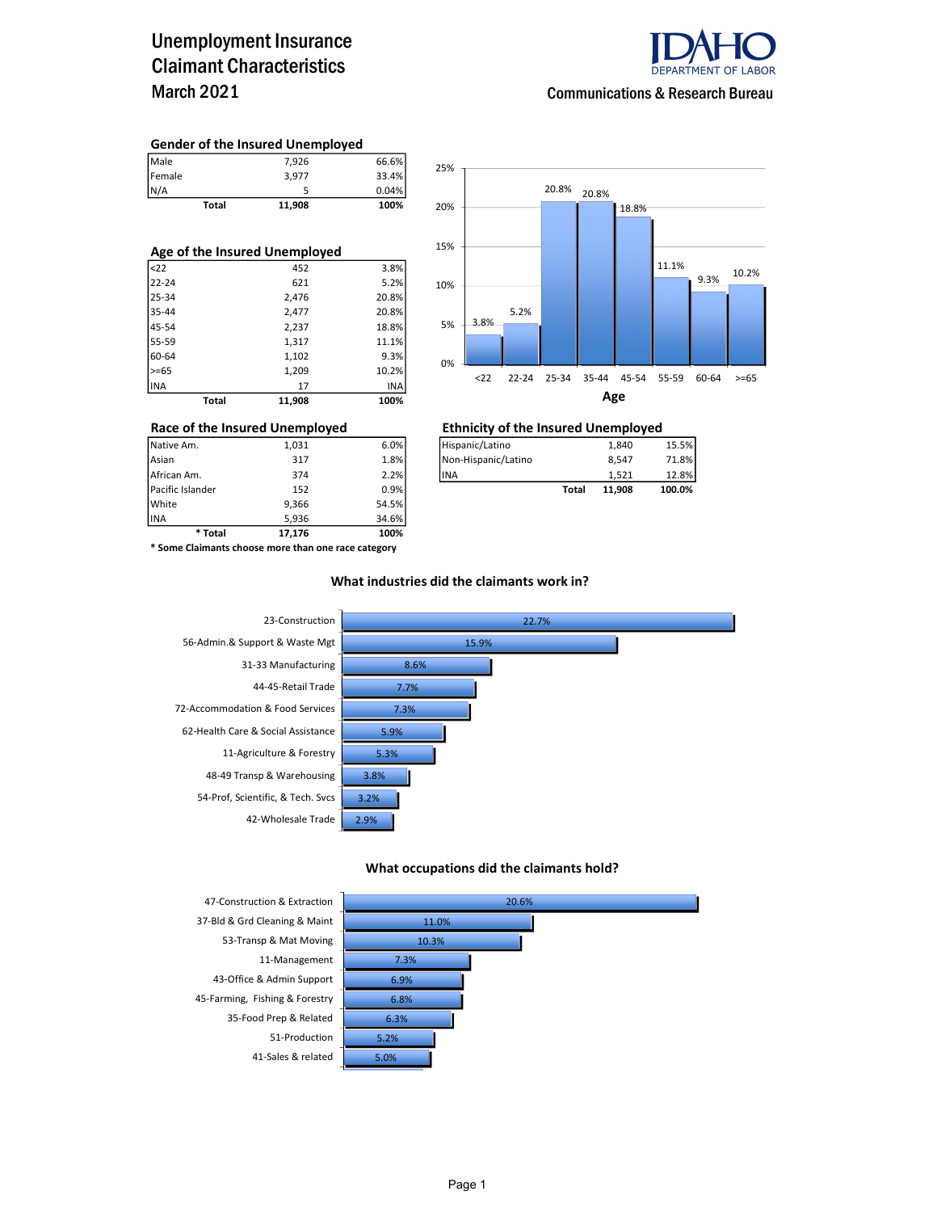## Unemployment Insurance Claimant Characteristics March 2021



### Communications & Research Bureau

#### Gender of the Insured Unemployed

| <b>Total</b>          | 11,908 | 100%  |
|-----------------------|--------|-------|
|                       |        | 0.04% |
|                       | 3.977  | 33.4% |
| Male<br>Female<br>N/A | 7.926  | 66.6% |

| Age of the Insured Unemployed |       |        |       |  |  |  |  |  |
|-------------------------------|-------|--------|-------|--|--|--|--|--|
| $ $ <22                       |       | 452    | 3.8%  |  |  |  |  |  |
| 22-24                         |       | 621    | 5.2%  |  |  |  |  |  |
| 25-34                         |       | 2,476  | 20.8% |  |  |  |  |  |
| 35-44                         |       | 2,477  | 20.8% |  |  |  |  |  |
| 45-54                         |       | 2,237  | 18.8% |  |  |  |  |  |
| 55-59                         |       | 1,317  | 11.1% |  |  |  |  |  |
| 60-64                         |       | 1,102  | 9.3%  |  |  |  |  |  |
| $>= 65$                       |       | 1,209  | 10.2% |  |  |  |  |  |
| <b>INA</b>                    |       | 17     | INA   |  |  |  |  |  |
|                               | Total | 11,908 | 100%  |  |  |  |  |  |



# Race of the Insured Unemployed<br>  $\frac{1,031}$   $\frac{6.0\%}{\text{Hispanic/Latino}}$   $\frac{1,840}$   $\frac{1,840}$

| Native Am.       | 1.031 | 6.0%    | Hispanic/Latino     |       | 1.840  | 15.5%  |
|------------------|-------|---------|---------------------|-------|--------|--------|
| Asian            | 317   | 1.8%    | Non-Hispanic/Latino |       | 8.547  | 71.8%  |
| African Am.      | 374   | 2.2%    | <b>IINA</b>         |       | 1.521  | 12.8%  |
| Pacific Islander | 152   | $0.9\%$ |                     | Total | 11.908 | 100.0% |

INA 5,936 34.6% \* Some Claimants choose more than one race category

\* Total 17,176 100%

Pacific Islander 152 152 0.9% White 9,366 54.5%<br>1NA 9,936 34.6%

#### What industries did the claimants work in?



#### What occupations did the claimants hold?



37-Bld & Grd Cleaning & Maint 43-Office & Admin Support 6.9% 45-Farming, Fishing & Forestry 35-Food Prep & Related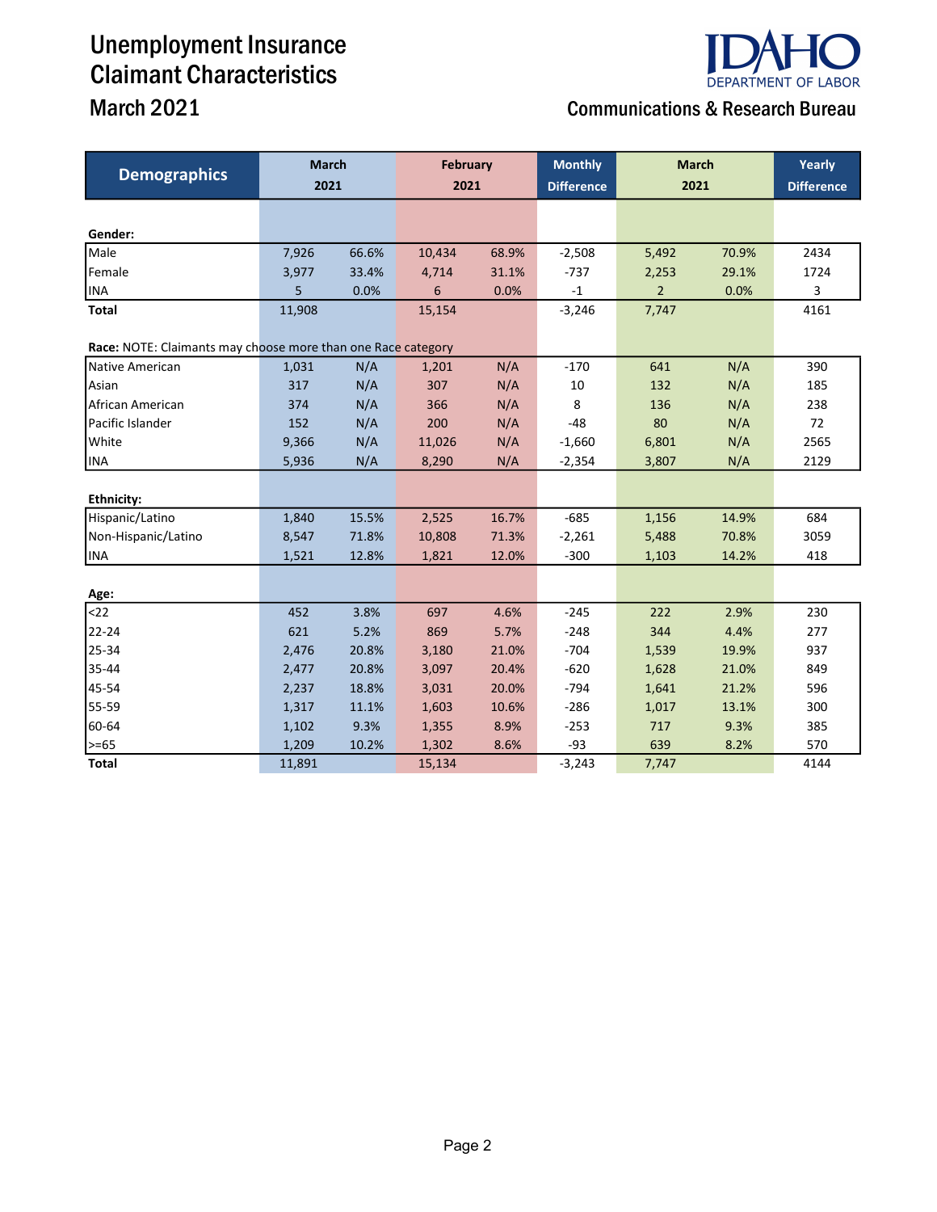# Unemployment Insurance Claimant Characteristics March 2021 Communications & Research Bureau

| <b>Demographics</b>                                          |        | <b>March</b><br><b>February</b> |        |       | <b>Monthly</b>          | <b>March</b>   |       |                   |
|--------------------------------------------------------------|--------|---------------------------------|--------|-------|-------------------------|----------------|-------|-------------------|
|                                                              | 2021   |                                 |        | 2021  |                         | 2021           |       | <b>Difference</b> |
|                                                              |        |                                 |        |       |                         |                |       |                   |
| Gender:                                                      |        |                                 |        |       |                         |                |       |                   |
| Male                                                         | 7,926  | 66.6%                           | 10,434 | 68.9% | $-2,508$                | 5,492          | 70.9% | 2434              |
| Female                                                       | 3,977  | 33.4%                           | 4,714  | 31.1% | $-737$                  | 2,253          | 29.1% | 1724              |
| <b>INA</b>                                                   | 5      | 0.0%                            | 6      | 0.0%  | $^{\text{{\small -1}}}$ | $\overline{2}$ | 0.0%  | 3                 |
| <b>Total</b>                                                 | 11,908 |                                 | 15,154 |       | $-3,246$                | 7,747          |       | 4161              |
| Race: NOTE: Claimants may choose more than one Race category |        |                                 |        |       |                         |                |       |                   |
| Native American                                              | 1,031  | N/A                             | 1,201  | N/A   | $-170$                  | 641            | N/A   | 390               |
| Asian                                                        | 317    | N/A                             | 307    | N/A   | 10                      | 132            | N/A   | 185               |
| African American                                             | 374    | N/A                             | 366    | N/A   | 8                       | 136            | N/A   | 238               |
| Pacific Islander                                             | 152    | N/A                             | 200    | N/A   | $-48$                   | 80             | N/A   | 72                |
| White                                                        | 9,366  | N/A                             | 11,026 | N/A   | $-1,660$                | 6,801          | N/A   | 2565              |
| <b>INA</b>                                                   | 5,936  | N/A                             | 8,290  | N/A   | $-2,354$                | 3,807          | N/A   | 2129              |
|                                                              |        |                                 |        |       |                         |                |       |                   |
| Ethnicity:                                                   |        |                                 |        |       |                         |                |       |                   |
| Hispanic/Latino                                              | 1,840  | 15.5%                           | 2,525  | 16.7% | $-685$                  | 1,156          | 14.9% | 684               |
| Non-Hispanic/Latino                                          | 8,547  | 71.8%                           | 10,808 | 71.3% | $-2,261$                | 5,488          | 70.8% | 3059              |
| <b>INA</b>                                                   | 1,521  | 12.8%                           | 1,821  | 12.0% | $-300$                  | 1,103          | 14.2% | 418               |
| Age:                                                         |        |                                 |        |       |                         |                |       |                   |
| $22$                                                         | 452    | 3.8%                            | 697    | 4.6%  | $-245$                  | 222            | 2.9%  | 230               |
| 22-24                                                        | 621    | 5.2%                            | 869    | 5.7%  | $-248$                  | 344            | 4.4%  | 277               |
| 25-34                                                        | 2,476  | 20.8%                           | 3,180  | 21.0% | $-704$                  | 1,539          | 19.9% | 937               |
| 35-44                                                        | 2,477  | 20.8%                           | 3,097  | 20.4% | $-620$                  | 1,628          | 21.0% | 849               |
| 45-54                                                        | 2,237  | 18.8%                           | 3,031  | 20.0% | $-794$                  | 1,641          | 21.2% | 596               |
| 55-59                                                        | 1,317  | 11.1%                           | 1,603  | 10.6% | $-286$                  | 1,017          | 13.1% | 300               |
| 60-64                                                        | 1,102  | 9.3%                            | 1,355  | 8.9%  | $-253$                  | 717            | 9.3%  | 385               |
| $>= 65$                                                      | 1,209  | 10.2%                           | 1,302  | 8.6%  | $-93$                   | 639            | 8.2%  | 570               |
| <b>Total</b>                                                 | 11,891 |                                 | 15,134 |       | $-3,243$                | 7,747          |       | 4144              |